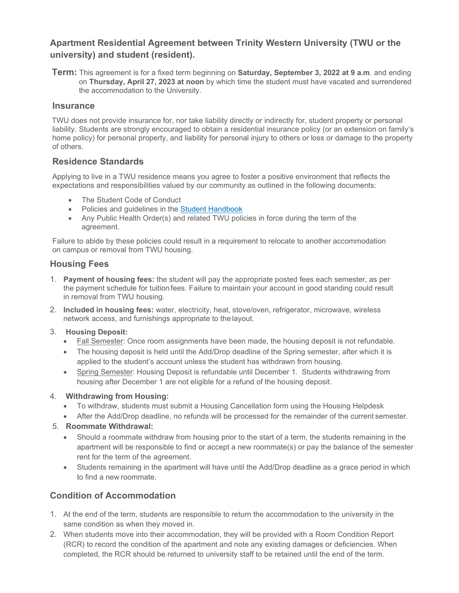# **Apartment Residential Agreement between Trinity Western University (TWU or the university) and student (resident).**

**Term:** This agreement is for a fixed term beginning on **Saturday, September 3, 2022 at 9 a.m**. and ending on **Thursday, April 27, 2023 at noon** by which time the student must have vacated and surrendered the accommodation to the University.

#### **Insurance**

TWU does not provide insurance for, nor take liability directly or indirectly for, student property or personal liability. Students are strongly encouraged to obtain a residential insurance policy (or an extension on family's home policy) for personal property, and liability for personal injury to others or loss or damage to the property of others.

### **Residence Standards**

Applying to live in a TWU residence means you agree to foster a positive environment that reflects the expectations and responsibilities valued by our community as outlined in the following documents:

- The Student Code of Conduct
- Policies and guidelines in the **Student Handbook**
- Any Public Health Order(s) and related TWU policies in force during the term of the agreement.

Failure to abide by these policies could result in a requirement to relocate to another accommodation on campus or removal from TWU housing.

### **Housing Fees**

- 1. **Payment of housing fees:** the student will pay the appropriate posted fees each semester, as per the payment schedule for tuition fees. Failure to maintain your account in good standing could result in removal from TWU housing.
- 2. **Included in housing fees:** water, electricity, heat, stove/oven, refrigerator, microwave, wireless network access, and furnishings appropriate to the layout.
- 3. **Housing Deposit:**
	- Fall Semester: Once room assignments have been made, the housing deposit is not refundable.
	- The housing deposit is held until the Add/Drop deadline of the Spring semester, after which it is applied to the student's account unless the student has withdrawn from housing.
	- Spring Semester: Housing Deposit is refundable until December 1. Students withdrawing from housing after December 1 are not eligible for a refund of the housing deposit.
- 4. **Withdrawing from Housing:**
	- To withdraw, students must submit a Housing Cancellation form using the Housing Helpdesk
	- After the Add/Drop deadline, no refunds will be processed for the remainder of the current semester.
- 5. **Roommate Withdrawal:**
	- Should a roommate withdraw from housing prior to the start of a term, the students remaining in the apartment will be responsible to find or accept a new roommate(s) or pay the balance of the semester rent for the term of the agreement.
	- Students remaining in the apartment will have until the Add/Drop deadline as a grace period in which to find a new roommate.

# **Condition of Accommodation**

- 1. At the end of the term, students are responsible to return the accommodation to the university in the same condition as when they moved in.
- 2. When students move into their accommodation, they will be provided with a Room Condition Report (RCR) to record the condition of the apartment and note any existing damages or deficiencies. When completed, the RCR should be returned to university staff to be retained until the end of the term.